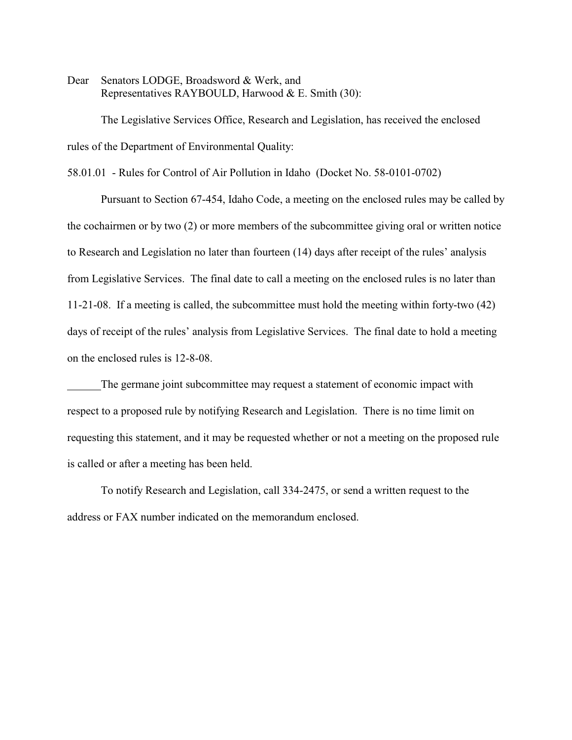Dear Senators LODGE, Broadsword & Werk, and Representatives RAYBOULD, Harwood & E. Smith (30):

The Legislative Services Office, Research and Legislation, has received the enclosed rules of the Department of Environmental Quality:

58.01.01 - Rules for Control of Air Pollution in Idaho (Docket No. 58-0101-0702)

Pursuant to Section 67-454, Idaho Code, a meeting on the enclosed rules may be called by the cochairmen or by two (2) or more members of the subcommittee giving oral or written notice to Research and Legislation no later than fourteen (14) days after receipt of the rules' analysis from Legislative Services. The final date to call a meeting on the enclosed rules is no later than 11-21-08. If a meeting is called, the subcommittee must hold the meeting within forty-two (42) days of receipt of the rules' analysis from Legislative Services. The final date to hold a meeting on the enclosed rules is 12-8-08.

The germane joint subcommittee may request a statement of economic impact with respect to a proposed rule by notifying Research and Legislation. There is no time limit on requesting this statement, and it may be requested whether or not a meeting on the proposed rule is called or after a meeting has been held.

To notify Research and Legislation, call 334-2475, or send a written request to the address or FAX number indicated on the memorandum enclosed.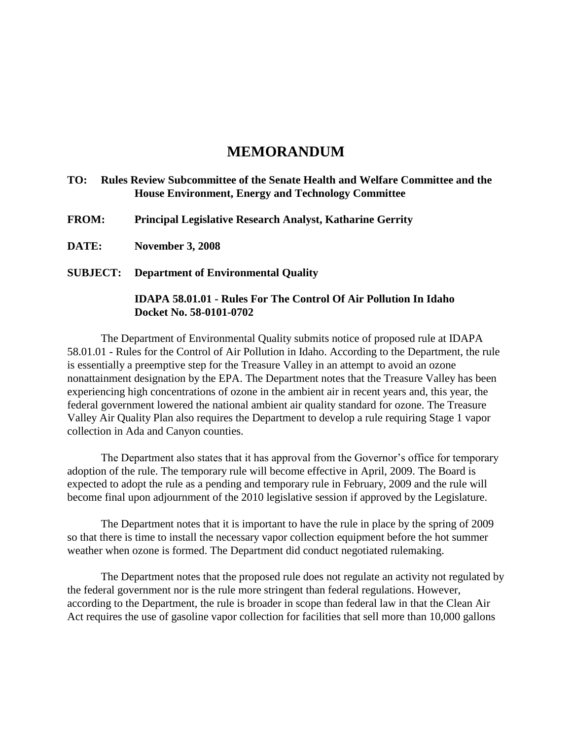# **MEMORANDUM**

# **TO: Rules Review Subcommittee of the Senate Health and Welfare Committee and the House Environment, Energy and Technology Committee**

**FROM: Principal Legislative Research Analyst, Katharine Gerrity**

**DATE: November 3, 2008**

# **SUBJECT: Department of Environmental Quality**

# **IDAPA 58.01.01 - Rules For The Control Of Air Pollution In Idaho Docket No. 58-0101-0702**

The Department of Environmental Quality submits notice of proposed rule at IDAPA 58.01.01 - Rules for the Control of Air Pollution in Idaho. According to the Department, the rule is essentially a preemptive step for the Treasure Valley in an attempt to avoid an ozone nonattainment designation by the EPA. The Department notes that the Treasure Valley has been experiencing high concentrations of ozone in the ambient air in recent years and, this year, the federal government lowered the national ambient air quality standard for ozone. The Treasure Valley Air Quality Plan also requires the Department to develop a rule requiring Stage 1 vapor collection in Ada and Canyon counties.

The Department also states that it has approval from the Governor's office for temporary adoption of the rule. The temporary rule will become effective in April, 2009. The Board is expected to adopt the rule as a pending and temporary rule in February, 2009 and the rule will become final upon adjournment of the 2010 legislative session if approved by the Legislature.

The Department notes that it is important to have the rule in place by the spring of 2009 so that there is time to install the necessary vapor collection equipment before the hot summer weather when ozone is formed. The Department did conduct negotiated rulemaking.

The Department notes that the proposed rule does not regulate an activity not regulated by the federal government nor is the rule more stringent than federal regulations. However, according to the Department, the rule is broader in scope than federal law in that the Clean Air Act requires the use of gasoline vapor collection for facilities that sell more than 10,000 gallons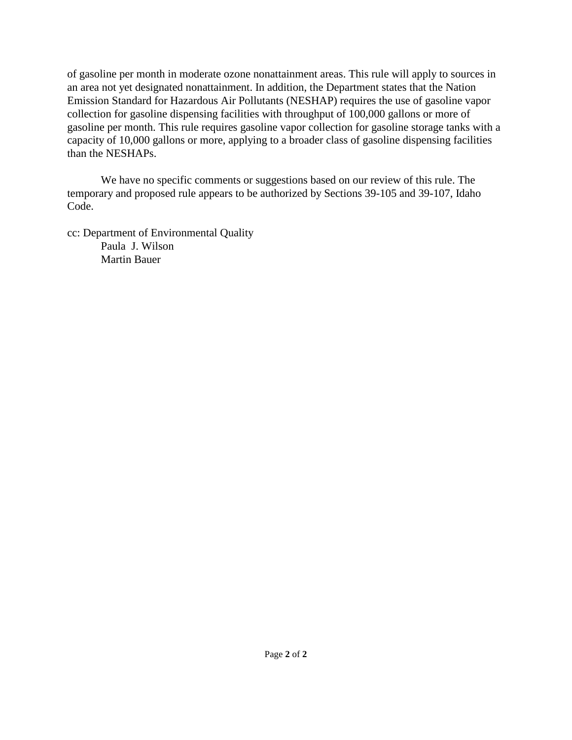of gasoline per month in moderate ozone nonattainment areas. This rule will apply to sources in an area not yet designated nonattainment. In addition, the Department states that the Nation Emission Standard for Hazardous Air Pollutants (NESHAP) requires the use of gasoline vapor collection for gasoline dispensing facilities with throughput of 100,000 gallons or more of gasoline per month. This rule requires gasoline vapor collection for gasoline storage tanks with a capacity of 10,000 gallons or more, applying to a broader class of gasoline dispensing facilities than the NESHAPs.

We have no specific comments or suggestions based on our review of this rule. The temporary and proposed rule appears to be authorized by Sections 39-105 and 39-107, Idaho Code.

cc: Department of Environmental Quality Paula J. Wilson Martin Bauer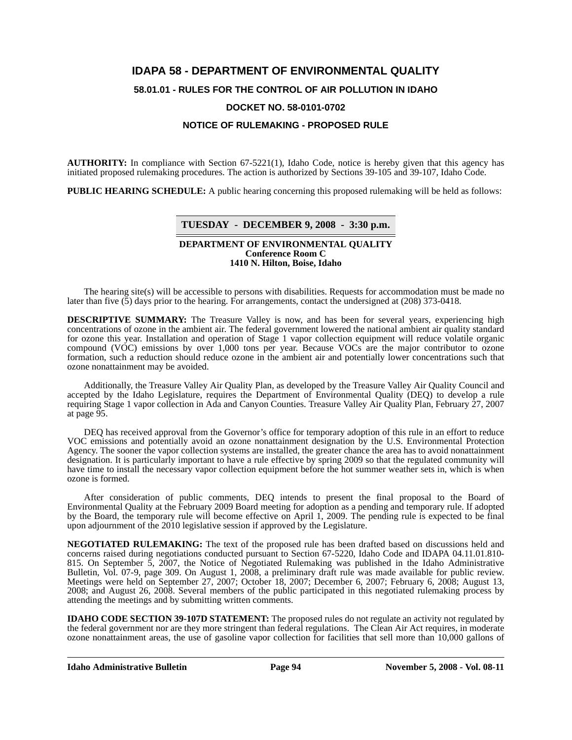# **IDAPA 58 - DEPARTMENT OF ENVIRONMENTAL QUALITY 58.01.01 - RULES FOR THE CONTROL OF AIR POLLUTION IN IDAHO DOCKET NO. 58-0101-0702**

### **NOTICE OF RULEMAKING - PROPOSED RULE**

**AUTHORITY:** In compliance with Section 67-5221(1), Idaho Code, notice is hereby given that this agency has initiated proposed rulemaking procedures. The action is authorized by Sections 39-105 and 39-107, Idaho Code.

**PUBLIC HEARING SCHEDULE:** A public hearing concerning this proposed rulemaking will be held as follows:

#### **TUESDAY - DECEMBER 9, 2008 - 3:30 p.m.**

#### **DEPARTMENT OF ENVIRONMENTAL QUALITY Conference Room C 1410 N. Hilton, Boise, Idaho**

The hearing site(s) will be accessible to persons with disabilities. Requests for accommodation must be made no later than five (5) days prior to the hearing. For arrangements, contact the undersigned at (208) 373-0418.

**DESCRIPTIVE SUMMARY:** The Treasure Valley is now, and has been for several years, experiencing high concentrations of ozone in the ambient air. The federal government lowered the national ambient air quality standard for ozone this year. Installation and operation of Stage 1 vapor collection equipment will reduce volatile organic compound (VOC) emissions by over 1,000 tons per year. Because VOCs are the major contributor to ozone formation, such a reduction should reduce ozone in the ambient air and potentially lower concentrations such that ozone nonattainment may be avoided.

Additionally, the Treasure Valley Air Quality Plan, as developed by the Treasure Valley Air Quality Council and accepted by the Idaho Legislature, requires the Department of Environmental Quality (DEQ) to develop a rule requiring Stage 1 vapor collection in Ada and Canyon Counties. Treasure Valley Air Quality Plan, February 27, 2007 at page 95.

DEQ has received approval from the Governor's office for temporary adoption of this rule in an effort to reduce VOC emissions and potentially avoid an ozone nonattainment designation by the U.S. Environmental Protection Agency. The sooner the vapor collection systems are installed, the greater chance the area has to avoid nonattainment designation. It is particularly important to have a rule effective by spring 2009 so that the regulated community will have time to install the necessary vapor collection equipment before the hot summer weather sets in, which is when ozone is formed.

After consideration of public comments, DEQ intends to present the final proposal to the Board of Environmental Quality at the February 2009 Board meeting for adoption as a pending and temporary rule. If adopted by the Board, the temporary rule will become effective on April 1, 2009. The pending rule is expected to be final upon adjournment of the 2010 legislative session if approved by the Legislature.

**[NEGOTIATED RULEMAKING:](http://adm.idaho.gov/adminrules/bulletin/bul/07bul/07sept.pdf#P.309)** The text of the proposed rule has been drafted based on discussions held and concerns raised during negotiations conducted pursuant to Section 67-5220, Idaho Code and IDAPA 04.11.01.810- 815. On September 5, 2007, the Notice of Negotiated Rulemaking was published in the Idaho Administrative Bulletin, Vol. 07-9, page 309. On August 1, 2008, a preliminary draft rule was made available for public review. Meetings were held on September 27, 2007; October 18, 2007; December 6, 2007; February 6, 2008; August 13, 2008; and August 26, 2008. Several members of the public participated in this negotiated rulemaking process by attending the meetings and by submitting written comments.

**IDAHO CODE SECTION 39-107D STATEMENT:** The proposed rules do not regulate an activity not regulated by the federal government nor are they more stringent than federal regulations. The Clean Air Act requires, in moderate ozone nonattainment areas, the use of gasoline vapor collection for facilities that sell more than 10,000 gallons of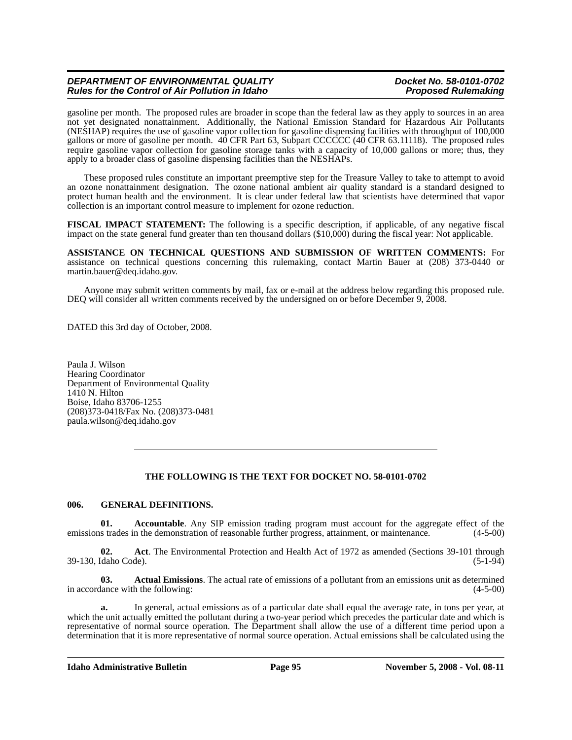gasoline per month. The proposed rules are broader in scope than the federal law as they apply to sources in an area not yet designated nonattainment. Additionally, the National Emission Standard for Hazardous Air Pollutants (NESHAP) requires the use of gasoline vapor collection for gasoline dispensing facilities with throughput of 100,000 gallons or more of gasoline per month. 40 CFR Part 63, Subpart CCCCCC (40 CFR 63.11118). The proposed rules require gasoline vapor collection for gasoline storage tanks with a capacity of 10,000 gallons or more; thus, they apply to a broader class of gasoline dispensing facilities than the NESHAPs.

These proposed rules constitute an important preemptive step for the Treasure Valley to take to attempt to avoid an ozone nonattainment designation. The ozone national ambient air quality standard is a standard designed to protect human health and the environment. It is clear under federal law that scientists have determined that vapor collection is an important control measure to implement for ozone reduction.

**FISCAL IMPACT STATEMENT:** The following is a specific description, if applicable, of any negative fiscal impact on the state general fund greater than ten thousand dollars (\$10,000) during the fiscal year: Not applicable.

**ASSISTANCE ON TECHNICAL QUESTIONS AND SUBMISSION OF WRITTEN COMMENTS:** For assistance on technical questions concerning this rulemaking, contact Martin Bauer at (208) 373-0440 or martin.bauer@deq.idaho.gov.

Anyone may submit written comments by mail, fax or e-mail at the address below regarding this proposed rule. DEQ will consider all written comments received by the undersigned on or before December 9, 2008.

DATED this 3rd day of October, 2008.

Paula J. Wilson Hearing Coordinator Department of Environmental Quality  $14\overline{1}0$  N. Hilton Boise, Idaho 83706-1255 (208)373-0418/Fax No. (208)373-0481 paula.wilson@deq.idaho.gov

### **THE FOLLOWING IS THE TEXT FOR DOCKET NO. 58-0101-0702**

#### **006. GENERAL DEFINITIONS.**

**01.** Accountable. Any SIP emission trading program must account for the aggregate effect of the strades in the demonstration of reasonable further progress, attainment, or maintenance. (4-5-00) emissions trades in the demonstration of reasonable further progress, attainment, or maintenance.

**02. Act**. The Environmental Protection and Health Act of 1972 as amended (Sections 39-101 through 39-130, Idaho Code). (5-1-94)

**03. Actual Emissions**. The actual rate of emissions of a pollutant from an emissions unit as determined in accordance with the following: (4-5-00)

**a.** In general, actual emissions as of a particular date shall equal the average rate, in tons per year, at which the unit actually emitted the pollutant during a two-year period which precedes the particular date and which is representative of normal source operation. The Department shall allow the use of a different time period upon a determination that it is more representative of normal source operation. Actual emissions shall be calculated using the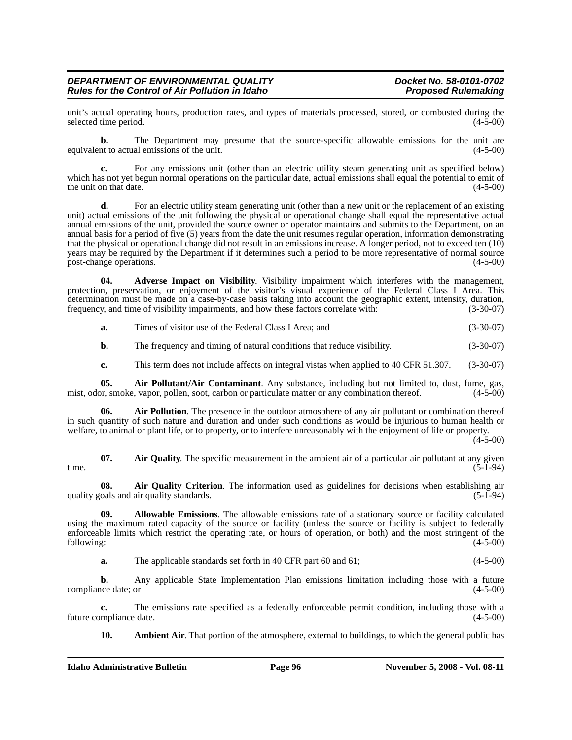unit's actual operating hours, production rates, and types of materials processed, stored, or combusted during the selected time period. (4-5-00) selected time period.

**b.** The Department may presume that the source-specific allowable emissions for the unit are equivalent to actual emissions of the unit. (4-5-00)

**c.** For any emissions unit (other than an electric utility steam generating unit as specified below) which has not yet begun normal operations on the particular date, actual emissions shall equal the potential to emit of the unit on that date. (4-5-00)

**d.** For an electric utility steam generating unit (other than a new unit or the replacement of an existing unit) actual emissions of the unit following the physical or operational change shall equal the representative actual annual emissions of the unit, provided the source owner or operator maintains and submits to the Department, on an annual basis for a period of five (5) years from the date the unit resumes regular operation, information demonstrating that the physical or operational change did not result in an emissions increase. A longer period, not to exceed ten (10) years may be required by the Department if it determines such a period to be more representative of normal source post-change operations. (4-5-00) post-change operations.

**04. Adverse Impact on Visibility**. Visibility impairment which interferes with the management, protection, preservation, or enjoyment of the visitor's visual experience of the Federal Class I Area. This determination must be made on a case-by-case basis taking into account the geographic extent, intensity, duration, frequency, and time of visibility impairments, and how these factors correlate with: (3-30-07) frequency, and time of visibility impairments, and how these factors correlate with:

**a.** Times of visitor use of the Federal Class I Area; and (3-30-07)

**b.** The frequency and timing of natural conditions that reduce visibility. (3-30-07)

**c.** This term does not include affects on integral vistas when applied to 40 CFR 51.307. (3-30-07)

**05.** Air Pollutant/Air Contaminant. Any substance, including but not limited to, dust, fume, gas, or, smoke, vapor, pollen, soot, carbon or particulate matter or any combination thereof. (4-5-00) mist, odor, smoke, vapor, pollen, soot, carbon or particulate matter or any combination thereof.

Air Pollution. The presence in the outdoor atmosphere of any air pollutant or combination thereof in such quantity of such nature and duration and under such conditions as would be injurious to human health or welfare, to animal or plant life, or to property, or to interfere unreasonably with the enjoyment of life or property.

 $(4-5-00)$ 

**07.** Air Quality. The specific measurement in the ambient air of a particular air pollutant at any given time.  $(5-1-94)$ 

**08. Air Quality Criterion**. The information used as guidelines for decisions when establishing air quality goals and air quality standards. (5-1-94)

**09. Allowable Emissions**. The allowable emissions rate of a stationary source or facility calculated using the maximum rated capacity of the source or facility (unless the source or facility is subject to federally enforceable limits which restrict the operating rate, or hours of operation, or both) and the most stringent of the following: (4-5-00) (4-5-00)

**a.** The applicable standards set forth in 40 CFR part 60 and 61; (4-5-00)

**b.** Any applicable State Implementation Plan emissions limitation including those with a future compliance date; or  $(4-5-00)$ 

**c.** The emissions rate specified as a federally enforceable permit condition, including those with a mpliance date. (4-5-00) future compliance date.

**10.** Ambient Air. That portion of the atmosphere, external to buildings, to which the general public has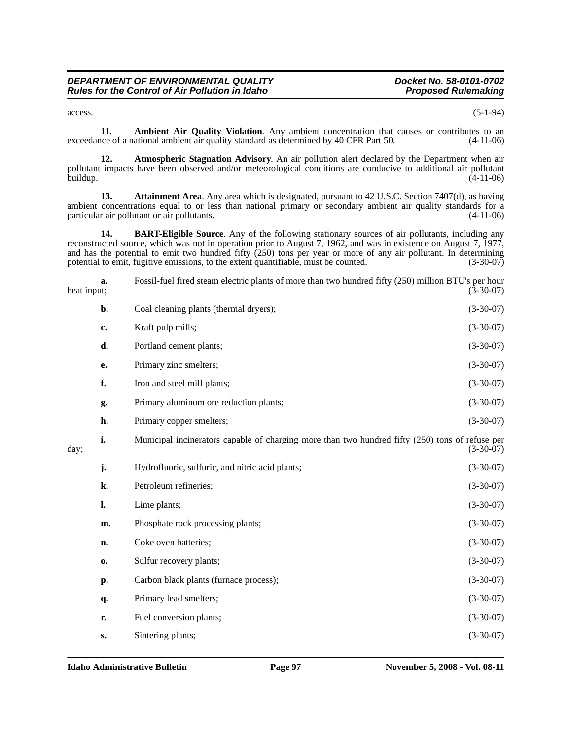$\alpha$  access.  $(5-1-94)$ 

**11. Ambient Air Quality Violation**. Any ambient concentration that causes or contributes to an ace of a national ambient air quality standard as determined by 40 CFR Part 50. (4-11-06) exceedance of a national ambient air quality standard as determined by 40 CFR Part 50.

**12. Atmospheric Stagnation Advisory**. An air pollution alert declared by the Department when air pollutant impacts have been observed and/or meteorological conditions are conducive to additional air pollutant buildup. (4-11-06)

**13. Attainment Area**. Any area which is designated, pursuant to 42 U.S.C. Section 7407(d), as having ambient concentrations equal to or less than national primary or secondary ambient air quality standards for a particular air pollutant or air pollutants. (4-11-06)

**14. BART-Eligible Source**. Any of the following stationary sources of air pollutants, including any reconstructed source, which was not in operation prior to August 7, 1962, and was in existence on August 7, 1977, and has the potential to emit two hundred fifty  $(250)$  tons per year or more of any air pollutant. In determining potential to emit, fugitive emissions, to the extent quantifiable, must be counted.  $(3-30-07)$ potential to emit, fugitive emissions, to the extent quantifiable, must be counted.

| heat input; | a.             | Fossil-fuel fired steam electric plants of more than two hundred fifty (250) million BTU's per hour | $(3-30-07)$ |
|-------------|----------------|-----------------------------------------------------------------------------------------------------|-------------|
|             | $b$ .          | Coal cleaning plants (thermal dryers);                                                              | $(3-30-07)$ |
|             | c.             | Kraft pulp mills;                                                                                   | $(3-30-07)$ |
|             | d.             | Portland cement plants;                                                                             | $(3-30-07)$ |
|             | e.             | Primary zinc smelters;                                                                              | $(3-30-07)$ |
|             | f.             | Iron and steel mill plants;                                                                         | $(3-30-07)$ |
|             | g.             | Primary aluminum ore reduction plants;                                                              | $(3-30-07)$ |
|             | h.             | Primary copper smelters;                                                                            | $(3-30-07)$ |
| day;        | i.             | Municipal incinerators capable of charging more than two hundred fifty (250) tons of refuse per     | $(3-30-07)$ |
|             | j.             | Hydrofluoric, sulfuric, and nitric acid plants;                                                     | $(3-30-07)$ |
|             | k.             | Petroleum refineries;                                                                               | $(3-30-07)$ |
|             | $\mathbf{l}$ . | Lime plants;                                                                                        | $(3-30-07)$ |
|             | m.             | Phosphate rock processing plants;                                                                   | $(3-30-07)$ |
|             | n.             | Coke oven batteries;                                                                                | $(3-30-07)$ |
|             | $\mathbf{0}$   | Sulfur recovery plants;                                                                             | $(3-30-07)$ |
|             | p.             | Carbon black plants (furnace process);                                                              | $(3-30-07)$ |
|             | q.             | Primary lead smelters;                                                                              | $(3-30-07)$ |
|             | r.             | Fuel conversion plants;                                                                             | $(3-30-07)$ |
|             | $S_{\bullet}$  | Sintering plants;                                                                                   | $(3-30-07)$ |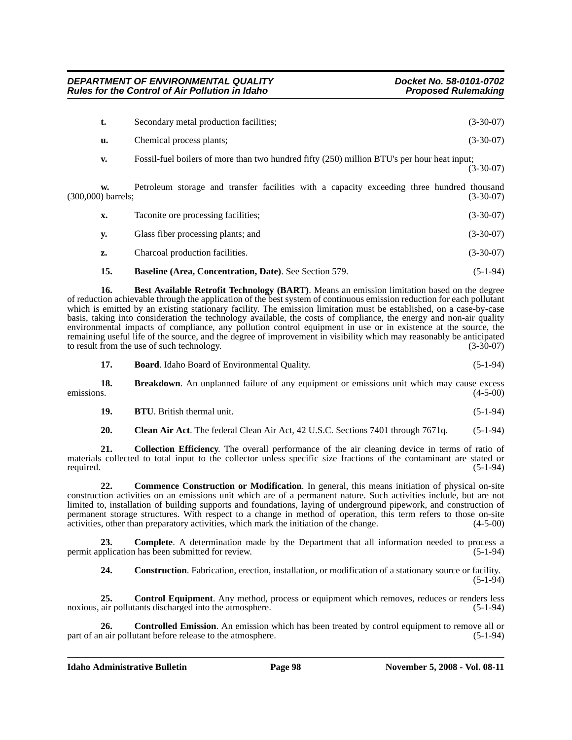| t. | Secondary metal production facilities;                                                      | $(3-30-07)$ |
|----|---------------------------------------------------------------------------------------------|-------------|
| u. | Chemical process plants;                                                                    | $(3-30-07)$ |
| V. | Fossil-fuel boilers of more than two hundred fifty (250) million BTU's per hour heat input; | $(3-30-07)$ |

**w.** Petroleum storage and transfer facilities with a capacity exceeding three hundred thousand (300,000) barrels; (3-30-07)

| х. | Taconite ore processing facilities; | $(3-30-07)$ |
|----|-------------------------------------|-------------|
| V. | Glass fiber processing plants; and  | $(3-30-07)$ |
|    | Charcoal production facilities.     | $(3-30-07)$ |

### **15. Baseline (Area, Concentration, Date)**. See Section 579. (5-1-94)

**16. Best Available Retrofit Technology (BART)**. Means an emission limitation based on the degree of reduction achievable through the application of the best system of continuous emission reduction for each pollutant which is emitted by an existing stationary facility. The emission limitation must be established, on a case-by-case basis, taking into consideration the technology available, the costs of compliance, the energy and non-air quality environmental impacts of compliance, any pollution control equipment in use or in existence at the source, the remaining useful life of the source, and the degree of improvement in visibility which may reasonably be anticipated<br>to result from the use of such technology. (3-30-07) to result from the use of such technology.

**18. Breakdown**. An unplanned failure of any equipment or emissions unit which may cause excess s. (4-5-00) emissions.  $(4-5-00)$ 

| 19. | <b>BTU.</b> British thermal unit. | $(5-1-94)$ |
|-----|-----------------------------------|------------|
|     |                                   |            |

**20. Clean Air Act**. The federal Clean Air Act, 42 U.S.C. Sections 7401 through 7671q. (5-1-94)

**21. Collection Efficiency**. The overall performance of the air cleaning device in terms of ratio of materials collected to total input to the collector unless specific size fractions of the contaminant are stated or required. (5-1-94)

**22. Commence Construction or Modification**. In general, this means initiation of physical on-site construction activities on an emissions unit which are of a permanent nature. Such activities include, but are not limited to, installation of building supports and foundations, laying of underground pipework, and construction of permanent storage structures. With respect to a change in method of operation, this term refers to those on-site activities, other than preparatory activities, which mark the initiation of the change. (4-5-00)

**23. Complete**. A determination made by the Department that all information needed to process a permit application has been submitted for review. (5-1-94)

**24. Construction**. Fabrication, erection, installation, or modification of a stationary source or facility. (5-1-94)

**25. Control Equipment**. Any method, process or equipment which removes, reduces or renders less noxious, air pollutants discharged into the atmosphere. (5-1-94)

**26. Controlled Emission**. An emission which has been treated by control equipment to remove all or part of an air pollutant before release to the atmosphere. (5-1-94)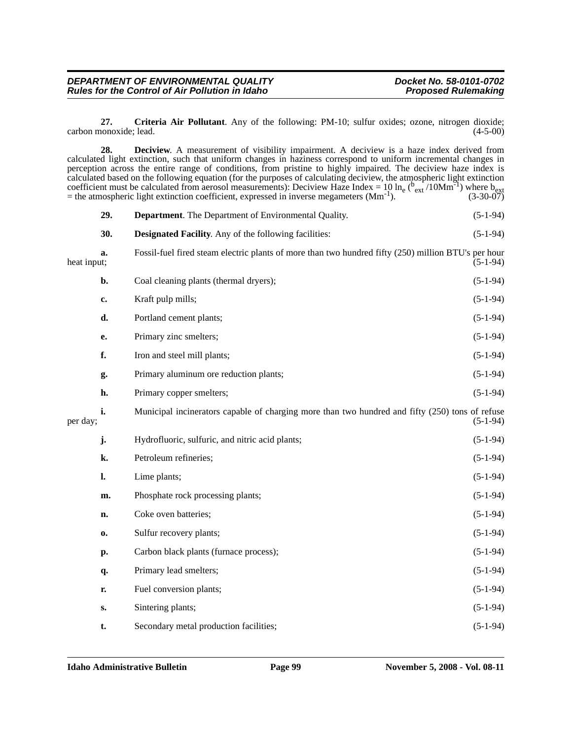#### *DEPARTMENT OF ENVIRONMENTAL QUALITY Docket No. 58-0101-0702 Rules for the Control of Air Pollution in Idaho* **Proposed Rulemaking** *Proposed Rulemaking*

**27. Criteria Air Pollutant**. Any of the following: PM-10; sulfur oxides; ozone, nitrogen dioxide; carbon monoxide; lead.

|             | 28.            | <b>Deciview.</b> A measurement of visibility impairment. A deciview is a haze index derived from<br>calculated light extinction, such that uniform changes in haziness correspond to uniform incremental changes in<br>perception across the entire range of conditions, from pristine to highly impaired. The deciview haze index is<br>calculated based on the following equation (for the purposes of calculating deciview, the atmospheric light extinction<br>coefficient must be calculated from aerosol measurements): Deciview Haze Index = 10 ln <sub>e</sub> ( $v_{ext}/10Mm^{-1}$ ) where b <sub>ext</sub><br>= the atmospheric light extinction coefficient, expressed in inverse megameters $(Mm^{-1})$ . | $(3-30-07)$ |
|-------------|----------------|------------------------------------------------------------------------------------------------------------------------------------------------------------------------------------------------------------------------------------------------------------------------------------------------------------------------------------------------------------------------------------------------------------------------------------------------------------------------------------------------------------------------------------------------------------------------------------------------------------------------------------------------------------------------------------------------------------------------|-------------|
|             | 29.            | <b>Department</b> . The Department of Environmental Quality.                                                                                                                                                                                                                                                                                                                                                                                                                                                                                                                                                                                                                                                           | $(5-1-94)$  |
|             | 30.            | <b>Designated Facility.</b> Any of the following facilities:                                                                                                                                                                                                                                                                                                                                                                                                                                                                                                                                                                                                                                                           | $(5-1-94)$  |
| heat input; | a.             | Fossil-fuel fired steam electric plants of more than two hundred fifty (250) million BTU's per hour                                                                                                                                                                                                                                                                                                                                                                                                                                                                                                                                                                                                                    | $(5-1-94)$  |
|             | b.             | Coal cleaning plants (thermal dryers);                                                                                                                                                                                                                                                                                                                                                                                                                                                                                                                                                                                                                                                                                 | $(5-1-94)$  |
|             | c.             | Kraft pulp mills;                                                                                                                                                                                                                                                                                                                                                                                                                                                                                                                                                                                                                                                                                                      | $(5-1-94)$  |
|             | d.             | Portland cement plants;                                                                                                                                                                                                                                                                                                                                                                                                                                                                                                                                                                                                                                                                                                | $(5-1-94)$  |
|             | е.             | Primary zinc smelters;                                                                                                                                                                                                                                                                                                                                                                                                                                                                                                                                                                                                                                                                                                 | $(5-1-94)$  |
|             | f.             | Iron and steel mill plants;                                                                                                                                                                                                                                                                                                                                                                                                                                                                                                                                                                                                                                                                                            | $(5-1-94)$  |
|             | g.             | Primary aluminum ore reduction plants;                                                                                                                                                                                                                                                                                                                                                                                                                                                                                                                                                                                                                                                                                 | $(5-1-94)$  |
|             | h.             | Primary copper smelters;                                                                                                                                                                                                                                                                                                                                                                                                                                                                                                                                                                                                                                                                                               | $(5-1-94)$  |
| per day;    | i.             | Municipal incinerators capable of charging more than two hundred and fifty (250) tons of refuse                                                                                                                                                                                                                                                                                                                                                                                                                                                                                                                                                                                                                        | $(5-1-94)$  |
|             | j.             | Hydrofluoric, sulfuric, and nitric acid plants;                                                                                                                                                                                                                                                                                                                                                                                                                                                                                                                                                                                                                                                                        | $(5-1-94)$  |
|             | k.             | Petroleum refineries;                                                                                                                                                                                                                                                                                                                                                                                                                                                                                                                                                                                                                                                                                                  | $(5-1-94)$  |
|             | $\mathbf{l}$ . | Lime plants;                                                                                                                                                                                                                                                                                                                                                                                                                                                                                                                                                                                                                                                                                                           | $(5-1-94)$  |
|             | m.             | Phosphate rock processing plants;                                                                                                                                                                                                                                                                                                                                                                                                                                                                                                                                                                                                                                                                                      | $(5-1-94)$  |
|             | n.             | Coke oven batteries;                                                                                                                                                                                                                                                                                                                                                                                                                                                                                                                                                                                                                                                                                                   | $(5-1-94)$  |
|             | 0.             | Sulfur recovery plants;                                                                                                                                                                                                                                                                                                                                                                                                                                                                                                                                                                                                                                                                                                | $(5-1-94)$  |
|             | p.             | Carbon black plants (furnace process);                                                                                                                                                                                                                                                                                                                                                                                                                                                                                                                                                                                                                                                                                 | $(5-1-94)$  |
|             | q.             | Primary lead smelters;                                                                                                                                                                                                                                                                                                                                                                                                                                                                                                                                                                                                                                                                                                 | $(5-1-94)$  |
|             | r.             | Fuel conversion plants;                                                                                                                                                                                                                                                                                                                                                                                                                                                                                                                                                                                                                                                                                                | $(5-1-94)$  |
|             | $\mathbf{S}$ . | Sintering plants;                                                                                                                                                                                                                                                                                                                                                                                                                                                                                                                                                                                                                                                                                                      | $(5-1-94)$  |
|             | t.             | Secondary metal production facilities;                                                                                                                                                                                                                                                                                                                                                                                                                                                                                                                                                                                                                                                                                 | $(5-1-94)$  |
|             |                |                                                                                                                                                                                                                                                                                                                                                                                                                                                                                                                                                                                                                                                                                                                        |             |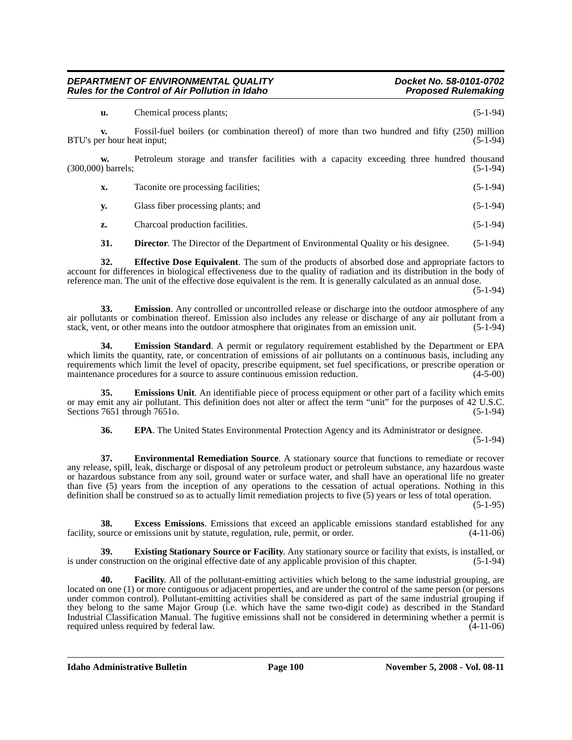**u.** Chemical process plants; (5-1-94)

**v.** Fossil-fuel boilers (or combination thereof) of more than two hundred and fifty (250) million er hour heat input: (5-1-94) BTU's per hour heat input;

**w.** Petroleum storage and transfer facilities with a capacity exceeding three hundred thousand (5-1-94) (300,000) barrels;

| X. | Taconite ore processing facilities; | $(5-1-94)$ |
|----|-------------------------------------|------------|
|----|-------------------------------------|------------|

**y.** Glass fiber processing plants; and (5-1-94)

**z.** Charcoal production facilities. (5-1-94)

**31. Director.** The Director of the Department of Environmental Quality or his designee. (5-1-94)

**32. Effective Dose Equivalent**. The sum of the products of absorbed dose and appropriate factors to account for differences in biological effectiveness due to the quality of radiation and its distribution in the body of reference man. The unit of the effective dose equivalent is the rem. It is generally calculated as an annual dose.

(5-1-94)

**33. Emission**. Any controlled or uncontrolled release or discharge into the outdoor atmosphere of any air pollutants or combination thereof. Emission also includes any release or discharge of any air pollutant from a stack, vent, or other means into the outdoor atmosphere that originates from an emission unit. (5-1-94)

**34. Emission Standard**. A permit or regulatory requirement established by the Department or EPA which limits the quantity, rate, or concentration of emissions of air pollutants on a continuous basis, including any requirements which limit the level of opacity, prescribe equipment, set fuel specifications, or prescribe operation or maintenance procedures for a source to assure continuous emission reduction.  $(4-5-00)$ maintenance procedures for a source to assure continuous emission reduction.

**35. Emissions Unit**. An identifiable piece of process equipment or other part of a facility which emits or may emit any air pollutant. This definition does not alter or affect the term "unit" for the purposes of 42 U.S.C. Sections 7651 through 7651o. (5-1-94) (5-1-94)

**36. EPA.** The United States Environmental Protection Agency and its Administrator or designee. (5-1-94)

**37. Environmental Remediation Source**. A stationary source that functions to remediate or recover any release, spill, leak, discharge or disposal of any petroleum product or petroleum substance, any hazardous waste or hazardous substance from any soil, ground water or surface water, and shall have an operational life no greater than five (5) years from the inception of any operations to the cessation of actual operations. Nothing in this definition shall be construed so as to actually limit remediation projects to five (5) years or less of total operation. (5-1-95)

**38. Excess Emissions**. Emissions that exceed an applicable emissions standard established for any source or emissions unit by statute, regulation, rule, permit, or order. (4-11-06) facility, source or emissions unit by statute, regulation, rule, permit, or order.

**39. Existing Stationary Source or Facility**. Any stationary source or facility that exists, is installed, or is under construction on the original effective date of any applicable provision of this chapter. (5-1-94)

**40. Facility**. All of the pollutant-emitting activities which belong to the same industrial grouping, are located on one (1) or more contiguous or adjacent properties, and are under the control of the same person (or persons under common control). Pollutant-emitting activities shall be considered as part of the same industrial grouping if they belong to the same Major Group (i.e. which have the same two-digit code) as described in the Standard Industrial Classification Manual. The fugitive emissions shall not be considered in determining whether a permit is required unless required by federal law.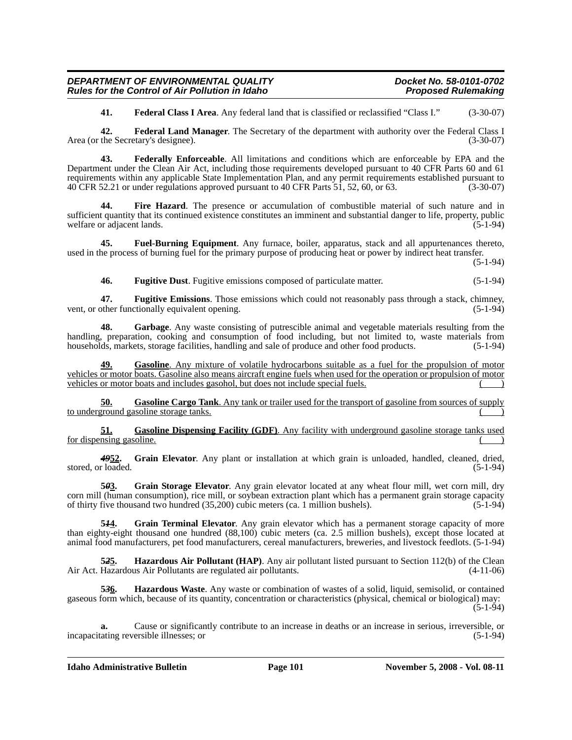**41. Federal Class I Area**. Any federal land that is classified or reclassified "Class I." (3-30-07)

**42. Federal Land Manager**. The Secretary of the department with authority over the Federal Class I Area (or the Secretary's designee). (3-30-07)

**43. Federally Enforceable**. All limitations and conditions which are enforceable by EPA and the Department under the Clean Air Act, including those requirements developed pursuant to 40 CFR Parts 60 and 61 requirements within any applicable State Implementation Plan, and any permit requirements established pursuant to 40 CFR 52.21 or under regulations approved pursuant to 40 CFR Parts 51, 52, 60, or 63. (3-30-07)

Fire Hazard. The presence or accumulation of combustible material of such nature and in sufficient quantity that its continued existence constitutes an imminent and substantial danger to life, property, public welfare or adiacent lands. welfare or adjacent lands.

**45. Fuel-Burning Equipment**. Any furnace, boiler, apparatus, stack and all appurtenances thereto, used in the process of burning fuel for the primary purpose of producing heat or power by indirect heat transfer.

(5-1-94)

**46. Fugitive Dust**. Fugitive emissions composed of particulate matter. (5-1-94)

**47. Fugitive Emissions**. Those emissions which could not reasonably pass through a stack, chimney, vent, or other functionally equivalent opening.

**48. Garbage**. Any waste consisting of putrescible animal and vegetable materials resulting from the handling, preparation, cooking and consumption of food including, but not limited to, waste materials from households, markets, storage facilities, handling and sale of produce and other food products.  $(5-1-94)$ 

**49. Gasoline**. Any mixture of volatile hydrocarbons suitable as a fuel for the propulsion of motor vehicles or motor boats. Gasoline also means aircraft engine fuels when used for the operation or propulsion of motor vehicles or motor boats and includes gasohol, but does not include special fuels.

**50. Gasoline Cargo Tank**. Any tank or trailer used for the transport of gasoline from sources of supply to underground gasoline storage tanks.

**51. Gasoline Dispensing Facility (GDF)**. Any facility with underground gasoline storage tanks used for dispensing gasoline.

*49***52. Grain Elevator**. Any plant or installation at which grain is unloaded, handled, cleaned, dried, stored, or loaded. (5-1-94) (5-1-94)

**5***0***3. Grain Storage Elevator**. Any grain elevator located at any wheat flour mill, wet corn mill, dry corn mill (human consumption), rice mill, or soybean extraction plant which has a permanent grain storage capacity of thirty five thousand two hundred (35,200) cubic meters (ca. 1 million bushels). (5-1-94)

5<sup>14</sup><sub>1</sub>. Grain Terminal Elevator. Any grain elevator which has a permanent storage capacity of more than eighty-eight thousand one hundred (88,100) cubic meters (ca. 2.5 million bushels), except those located at animal food manufacturers, pet food manufacturers, cereal manufacturers, breweries, and livestock feedlots. (5-1-94)

**52<u>5</u>. Hazardous Air Pollutant (HAP)**. Any air pollutant listed pursuant to Section 112(b) of the Clean Hazardous Air Pollutants are regulated air pollutants. (4-11-06) Air Act. Hazardous Air Pollutants are regulated air pollutants.

**5***3***6. Hazardous Waste**. Any waste or combination of wastes of a solid, liquid, semisolid, or contained gaseous form which, because of its quantity, concentration or characteristics (physical, chemical or biological) may: (5-1-94)

**a.** Cause or significantly contribute to an increase in deaths or an increase in serious, irreversible, or incapacitating reversible illnesses; or (5-1-94)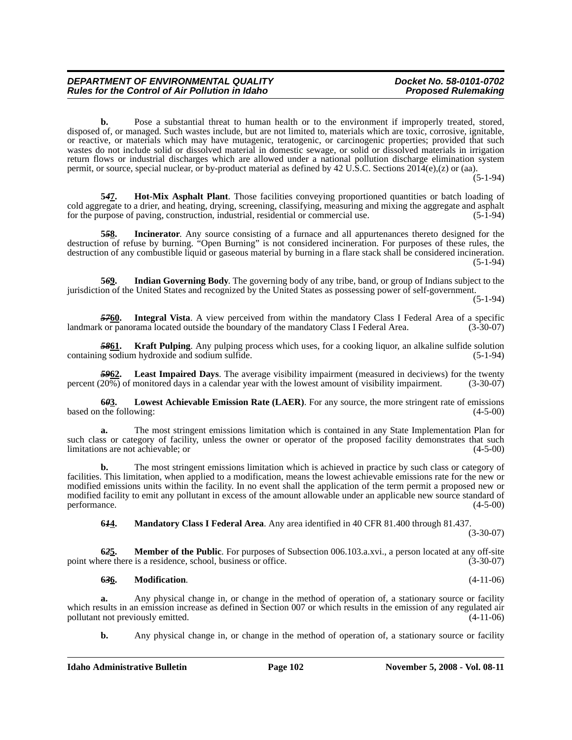**b.** Pose a substantial threat to human health or to the environment if improperly treated, stored, disposed of, or managed. Such wastes include, but are not limited to, materials which are toxic, corrosive, ignitable, or reactive, or materials which may have mutagenic, teratogenic, or carcinogenic properties; provided that such wastes do not include solid or dissolved material in domestic sewage, or solid or dissolved materials in irrigation return flows or industrial discharges which are allowed under a national pollution discharge elimination system permit, or source, special nuclear, or by-product material as defined by 42 U.S.C. Sections 2014(e),(z) or (aa).

 $(5-1-94)$ 

**5***4***7. Hot-Mix Asphalt Plant**. Those facilities conveying proportioned quantities or batch loading of cold aggregate to a drier, and heating, drying, screening, classifying, measuring and mixing the aggregate and asphalt for the purpose of paving, construction, industrial, residential or commercial use. (5-1-94) for the purpose of paving, construction, industrial, residential or commercial use.

**Incinerator**. Any source consisting of a furnace and all appurtenances thereto designed for the destruction of refuse by burning. "Open Burning" is not considered incineration. For purposes of these rules, the destruction of any combustible liquid or gaseous material by burning in a flare stack shall be considered incineration. (5-1-94)

**5***6***9. Indian Governing Body**. The governing body of any tribe, band, or group of Indians subject to the jurisdiction of the United States and recognized by the United States as possessing power of self-government.

(5-1-94)

*57***60. Integral Vista**. A view perceived from within the mandatory Class I Federal Area of a specific landmark or panorama located outside the boundary of the mandatory Class I Federal Area. (3-30-07)

*58***61. Kraft Pulping**. Any pulping process which uses, for a cooking liquor, an alkaline sulfide solution containing sodium hydroxide and sodium sulfide. (5-1-94)

**Least Impaired Days**. The average visibility impairment (measured in deciviews) for the twenty percent (20%) of monitored days in a calendar year with the lowest amount of visibility impairment. (3-30-07)

**6***0***3. Lowest Achievable Emission Rate (LAER)**. For any source, the more stringent rate of emissions based on the following: (4-5-00)

**a.** The most stringent emissions limitation which is contained in any State Implementation Plan for such class or category of facility, unless the owner or operator of the proposed facility demonstrates that such limitations are not achievable: or  $(4-5-00)$ limitations are not achievable; or

The most stringent emissions limitation which is achieved in practice by such class or category of facilities. This limitation, when applied to a modification, means the lowest achievable emissions rate for the new or modified emissions units within the facility. In no event shall the application of the term permit a proposed new or modified facility to emit any pollutant in excess of the amount allowable under an applicable new source standard of performance. (4-5-00)

**6***1***4. Mandatory Class I Federal Area**. Any area identified in 40 CFR 81.400 through 81.437.

(3-30-07)

**6***2***5. Member of the Public**. For purposes of Subsection 006.103.a.xvi., a person located at any off-site point where there is a residence, school, business or office. (3-30-07)

#### **6***3***6. Modification**. (4-11-06)

**a.** Any physical change in, or change in the method of operation of, a stationary source or facility which results in an emission increase as defined in Section 007 or which results in the emission of any regulated air pollutant not previously emitted. (4-11-06) pollutant not previously emitted.

**b.** Any physical change in, or change in the method of operation of, a stationary source or facility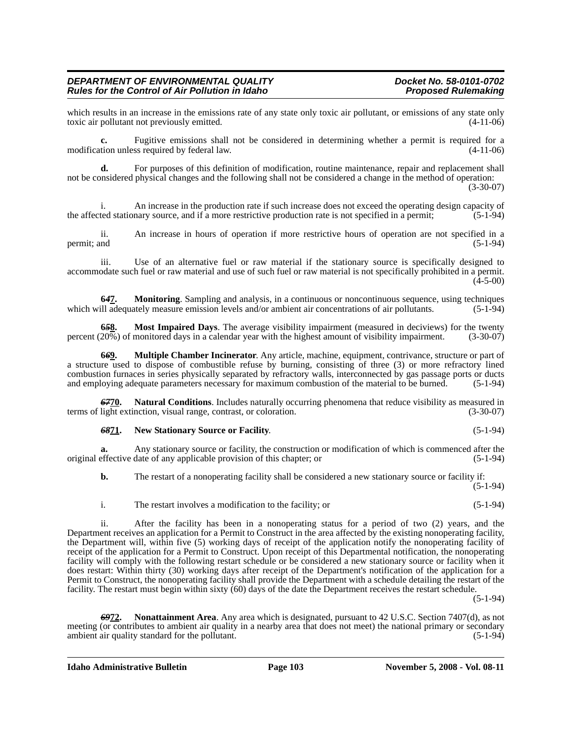which results in an increase in the emissions rate of any state only toxic air pollutant, or emissions of any state only toxic air pollutant not previously emitted.  $(4-11-06)$ toxic air pollutant not previously emitted.

**c.** Fugitive emissions shall not be considered in determining whether a permit is required for a modification unless required by federal law. (4-11-06)

**d.** For purposes of this definition of modification, routine maintenance, repair and replacement shall not be considered physical changes and the following shall not be considered a change in the method of operation:

(3-30-07)

i. An increase in the production rate if such increase does not exceed the operating design capacity of ted stationary source, and if a more restrictive production rate is not specified in a permit; (5-1-94) the affected stationary source, and if a more restrictive production rate is not specified in a permit;

ii. An increase in hours of operation if more restrictive hours of operation are not specified in a permit; and  $(5-1-94)$ 

iii. Use of an alternative fuel or raw material if the stationary source is specifically designed to accommodate such fuel or raw material and use of such fuel or raw material is not specifically prohibited in a permit.  $(4-5-00)$ 

**64<u>7</u>. Monitoring**. Sampling and analysis, in a continuous or noncontinuous sequence, using techniques ill adequately measure emission levels and/or ambient air concentrations of air pollutants. (5-1-94) which will adequately measure emission levels and/or ambient air concentrations of air pollutants.

**65<u>8</u>. Most Impaired Days**. The average visibility impairment (measured in deciviews) for the twenty 20%) of monitored days in a calendar year with the highest amount of visibility impairment. (3-30-07) percent (20%) of monitored days in a calendar year with the highest amount of visibility impairment.

**6***6***9. Multiple Chamber Incinerator**. Any article, machine, equipment, contrivance, structure or part of a structure used to dispose of combustible refuse by burning, consisting of three (3) or more refractory lined combustion furnaces in series physically separated by refractory walls, interconnected by gas passage ports or ducts and employing adequate parameters necessary for maximum combustion of the material to be burned. (5-1-94)

*67***70. Natural Conditions**. Includes naturally occurring phenomena that reduce visibility as measured in terms of light extinction, visual range, contrast, or coloration. (3-30-07)

#### *68***71. New Stationary Source or Facility**. (5-1-94)

**a.** Any stationary source or facility, the construction or modification of which is commenced after the original effective date of any applicable provision of this chapter; or (5-1-94)

**b.** The restart of a nonoperating facility shall be considered a new stationary source or facility if:  $(5-1-94)$ 

i. The restart involves a modification to the facility; or (5-1-94)

ii. After the facility has been in a nonoperating status for a period of two (2) years, and the Department receives an application for a Permit to Construct in the area affected by the existing nonoperating facility, the Department will, within five (5) working days of receipt of the application notify the nonoperating facility of receipt of the application for a Permit to Construct. Upon receipt of this Departmental notification, the nonoperating facility will comply with the following restart schedule or be considered a new stationary source or facility when it does restart: Within thirty (30) working days after receipt of the Department's notification of the application for a Permit to Construct, the nonoperating facility shall provide the Department with a schedule detailing the restart of the facility. The restart must begin within sixty (60) days of the date the Department receives the restart schedule.

(5-1-94)

*69***72. Nonattainment Area**. Any area which is designated, pursuant to 42 U.S.C. Section 7407(d), as not meeting (or contributes to ambient air quality in a nearby area that does not meet) the national primary or secondary ambient air quality standard for the pollutant. (5-1-94)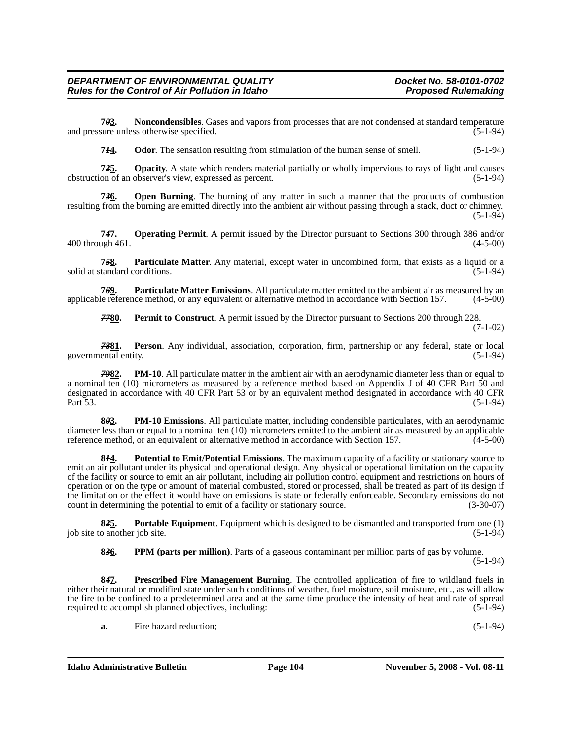**7***0***3. Noncondensibles**. Gases and vapors from processes that are not condensed at standard temperature and pressure unless otherwise specified. (5-1-94)

**744.** Odor. The sensation resulting from stimulation of the human sense of smell. (5-1-94)

**7***2***5. Opacity**. A state which renders material partially or wholly impervious to rays of light and causes obstruction of an observer's view, expressed as percent. (5-1-94)

**7***3***6. Open Burning**. The burning of any matter in such a manner that the products of combustion resulting from the burning are emitted directly into the ambient air without passing through a stack, duct or chimney. (5-1-94)

**7***4***7. Operating Permit**. A permit issued by the Director pursuant to Sections 300 through 386 and/or 400 through 461. (4-5-00)

**7***5***8. Particulate Matter**. Any material, except water in uncombined form, that exists as a liquid or a solid at standard conditions.

**76<u>9</u>. Particulate Matter Emissions**. All particulate matter emitted to the ambient air as measured by an le reference method, or any equivalent or alternative method in accordance with Section 157. (4-5-00) applicable reference method, or any equivalent or alternative method in accordance with Section 157.

*77***80. Permit to Construct**. A permit issued by the Director pursuant to Sections 200 through 228.

```
(7-1-02)
```
*78***81. Person**. Any individual, association, corporation, firm, partnership or any federal, state or local governmental entity. (5-1-94)

*79***82. PM-10**. All particulate matter in the ambient air with an aerodynamic diameter less than or equal to a nominal ten (10) micrometers as measured by a reference method based on Appendix J of 40 CFR Part 50 and designated in accordance with 40 CFR Part 53 or by an equivalent method designated in accordance with 40 CFR Part 53. (5-1-94)

**8***0***3. PM-10 Emissions**. All particulate matter, including condensible particulates, with an aerodynamic diameter less than or equal to a nominal ten (10) micrometers emitted to the ambient air as measured by an applicable reference method, or an equivalent or alternative method in accordance with Section 157. (4-5-00)

**8***1***4. Potential to Emit/Potential Emissions**. The maximum capacity of a facility or stationary source to emit an air pollutant under its physical and operational design. Any physical or operational limitation on the capacity of the facility or source to emit an air pollutant, including air pollution control equipment and restrictions on hours of operation or on the type or amount of material combusted, stored or processed, shall be treated as part of its design if the limitation or the effect it would have on emissions is state or federally enforceable. Secondary emissions do not count in determining the potential to emit of a facility or stationary source. (3-30-07)

**8***2***5. Portable Equipment**. Equipment which is designed to be dismantled and transported from one (1) job site to another job site.

**8***3***6. PPM (parts per million)**. Parts of a gaseous contaminant per million parts of gas by volume.

(5-1-94)

**8***4***7. Prescribed Fire Management Burning**. The controlled application of fire to wildland fuels in either their natural or modified state under such conditions of weather, fuel moisture, soil moisture, etc., as will allow the fire to be confined to a predetermined area and at the same time produce the intensity of heat and rate of spread required to accomplish planned objectives, including: (5-1-94)

**a.** Fire hazard reduction; (5-1-94)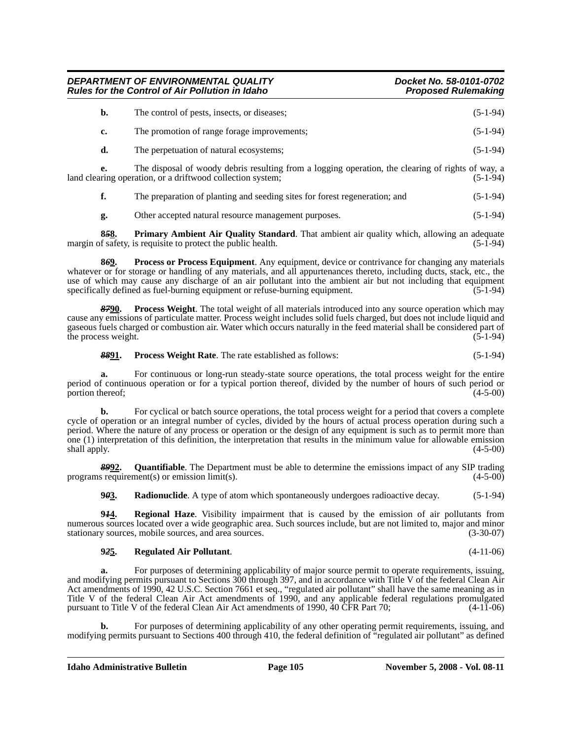| b. | The control of pests, insects, or diseases; | $(5-1-94)$ |
|----|---------------------------------------------|------------|
| c. | The promotion of range forage improvements; | $(5-1-94)$ |
| d. | The perpetuation of natural ecosystems;     | $(5-1-94)$ |

**e.** The disposal of woody debris resulting from a logging operation, the clearing of rights of way, a ring operation, or a driftwood collection system: (5-1-94) land clearing operation, or a driftwood collection system;

**f.** The preparation of planting and seeding sites for forest regeneration; and  $(5-1-94)$ 

**g.** Other accepted natural resource management purposes. (5-1-94)

**858.** Primary Ambient Air Quality Standard. That ambient air quality which, allowing an adequate of safety, is requisite to protect the public health. (5-1-94) margin of safety, is requisite to protect the public health.

**8***6***9. Process or Process Equipment**. Any equipment, device or contrivance for changing any materials whatever or for storage or handling of any materials, and all appurtenances thereto, including ducts, stack, etc., the use of which may cause any discharge of an air pollutant into the ambient air but not including that equipment specifically defined as fuel-burning equipment or refuse-burning equipment.  $(5-1-94)$ 

*87***90. Process Weight**. The total weight of all materials introduced into any source operation which may cause any emissions of particulate matter. Process weight includes solid fuels charged, but does not include liquid and gaseous fuels charged or combustion air. Water which occurs naturally in the feed material shall be considered part of the process weight.  $(5-1-94)$ 

**8891.** Process Weight Rate. The rate established as follows: (5-1-94)

**a.** For continuous or long-run steady-state source operations, the total process weight for the entire period of continuous operation or for a typical portion thereof, divided by the number of hours of such period or portion thereof: (4-5-00) portion thereof;

**b.** For cyclical or batch source operations, the total process weight for a period that covers a complete cycle of operation or an integral number of cycles, divided by the hours of actual process operation during such a period. Where the nature of any process or operation or the design of any equipment is such as to permit more than one (1) interpretation of this definition, the interpretation that results in the minimum value for allowable emission shall apply.  $(4-5-00)$  $\mathsf{shall}$  apply.  $(4-5-00)$ 

**892.** Quantifiable. The Department must be able to determine the emissions impact of any SIP trading s requirement(s) or emission limit(s). programs requirement(s) or emission  $limit(s)$ .

**943.** Radionuclide. A type of atom which spontaneously undergoes radioactive decay. (5-1-94)

**9***1***4. Regional Haze**. Visibility impairment that is caused by the emission of air pollutants from numerous sources located over a wide geographic area. Such sources include, but are not limited to, major and minor stationary sources, mobile sources, and area sources. stationary sources, mobile sources, and area sources.

#### **9***2***5. Regulated Air Pollutant**. (4-11-06)

**a.** For purposes of determining applicability of major source permit to operate requirements, issuing, and modifying permits pursuant to Sections 300 through 397, and in accordance with Title V of the federal Clean Air Act amendments of 1990, 42 U.S.C. Section 7661 et seq., "regulated air pollutant" shall have the same meaning as in Title V of the federal Clean Air Act amendments of 1990, and any applicable federal regulations promulgated pursuant to Title V of the federal Clean Air Act amendments of 1990, 40 CFR Part 70; (4-11-06)

**b.** For purposes of determining applicability of any other operating permit requirements, issuing, and modifying permits pursuant to Sections 400 through 410, the federal definition of "regulated air pollutant" as defined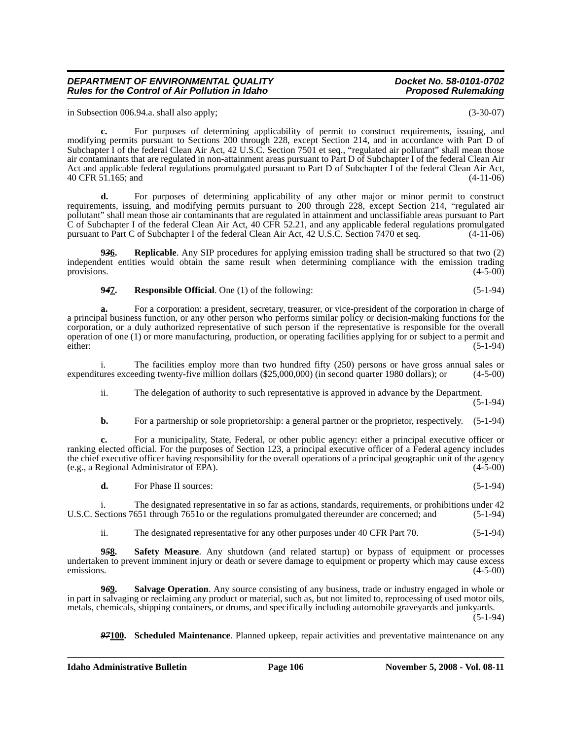in Subsection 006.94.a. shall also apply; (3-30-07)

**c.** For purposes of determining applicability of permit to construct requirements, issuing, and modifying permits pursuant to Sections 200 through 228, except Section 214, and in accordance with Part D of Subchapter I of the federal Clean Air Act, 42 U.S.C. Section 7501 et seq., "regulated air pollutant" shall mean those air contaminants that are regulated in non-attainment areas pursuant to Part D of Subchapter I of the federal Clean Air Act and applicable federal regulations promulgated pursuant to Part D of Subchapter I of the federal Clean Air Act, 40 CFR 51.165; and (4-11-06)

**d.** For purposes of determining applicability of any other major or minor permit to construct requirements, issuing, and modifying permits pursuant to 200 through 228, except Section 214, "regulated air pollutant" shall mean those air contaminants that are regulated in attainment and unclassifiable areas pursuant to Part C of Subchapter I of the federal Clean Air Act, 40 CFR 52.21, and any applicable federal regulations promulgated pursuant to Part C of Subchapter I of the federal Clean Air Act, 42 U.S.C. Section 7470 et seq. (4-11-06)

**9***3***6. Replicable**. Any SIP procedures for applying emission trading shall be structured so that two (2) independent entities would obtain the same result when determining compliance with the emission trading provisions. (4-5-00) provisions.  $(4-5-00)$ 

**9***4***7. Responsible Official**. One (1) of the following: (5-1-94)

**a.** For a corporation: a president, secretary, treasurer, or vice-president of the corporation in charge of a principal business function, or any other person who performs similar policy or decision-making functions for the corporation, or a duly authorized representative of such person if the representative is responsible for the overall operation of one (1) or more manufacturing, production, or operating facilities applying for or subject to a permit and either: (5-1-94)

i. The facilities employ more than two hundred fifty (250) persons or have gross annual sales or expenditures exceeding twenty-five million dollars (\$25,000,000) (in second quarter 1980 dollars); or (4-5-00)

ii. The delegation of authority to such representative is approved in advance by the Department. (5-1-94)

**b.** For a partnership or sole proprietorship: a general partner or the proprietor, respectively.  $(5-1-94)$ 

**c.** For a municipality, State, Federal, or other public agency: either a principal executive officer or ranking elected official. For the purposes of Section 123, a principal executive officer of a Federal agency includes the chief executive officer having responsibility for the overall operations of a principal geographic unit of the agency (e.g., a Regional Administrator of EPA). (4-5-00)

**d.** For Phase II sources: (5-1-94)

i. The designated representative in so far as actions, standards, requirements, or prohibitions under 42 ections 7651 through 7651o or the regulations promulgated thereunder are concerned; and (5-1-94) U.S.C. Sections 7651 through 76510 or the regulations promulgated thereunder are concerned; and

ii. The designated representative for any other purposes under 40 CFR Part 70. (5-1-94)

**9***5***8. Safety Measure**. Any shutdown (and related startup) or bypass of equipment or processes undertaken to prevent imminent injury or death or severe damage to equipment or property which may cause excess emissions.  $(4-5-00)$ 

**9***6***9. Salvage Operation**. Any source consisting of any business, trade or industry engaged in whole or in part in salvaging or reclaiming any product or material, such as, but not limited to, reprocessing of used motor oils, metals, chemicals, shipping containers, or drums, and specifically including automobile graveyards and junkyards.

 $(5-1-94)$ 

*97***100. Scheduled Maintenance**. Planned upkeep, repair activities and preventative maintenance on any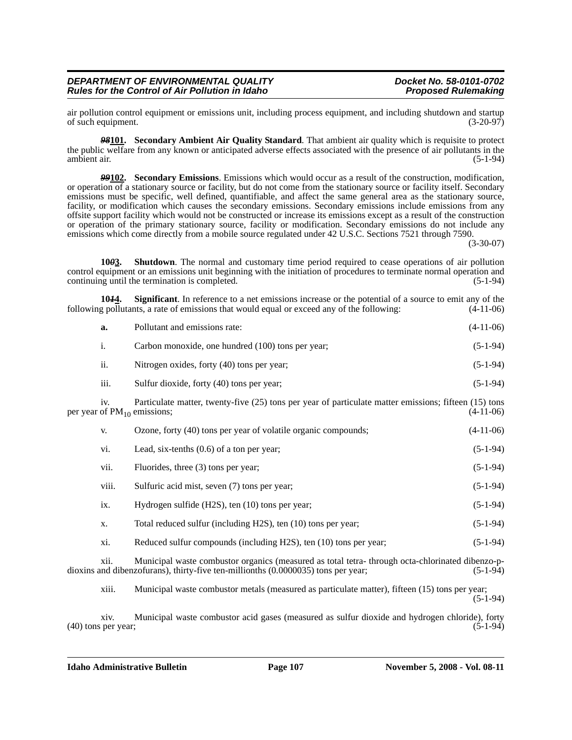air pollution control equipment or emissions unit, including process equipment, and including shutdown and startup<br>of such equipment. (3-20-97) of such equipment.

*98***101. Secondary Ambient Air Quality Standard**. That ambient air quality which is requisite to protect the public welfare from any known or anticipated adverse effects associated with the presence of air pollutants in the ambient air. (5-1-94) ambient air. (5-1-94)

*99***102. Secondary Emissions**. Emissions which would occur as a result of the construction, modification, or operation of a stationary source or facility, but do not come from the stationary source or facility itself. Secondary emissions must be specific, well defined, quantifiable, and affect the same general area as the stationary source, facility, or modification which causes the secondary emissions. Secondary emissions include emissions from any offsite support facility which would not be constructed or increase its emissions except as a result of the construction or operation of the primary stationary source, facility or modification. Secondary emissions do not include any emissions which come directly from a mobile source regulated under 42 U.S.C. Sections 7521 through 7590.

(3-30-07)

**10***0***3. Shutdown**. The normal and customary time period required to cease operations of air pollution control equipment or an emissions unit beginning with the initiation of procedures to terminate normal operation and continuing until the termination is completed. (5-1-94)

**1044.** Significant. In reference to a net emissions increase or the potential of a source to emit any of the pollutants, a rate of emissions that would equal or exceed any of the following:  $(4-11-06)$ following pollutants, a rate of emissions that would equal or exceed any of the following:

| a.              | Pollutant and emissions rate:                                                                                                             | $(4-11-06)$ |
|-----------------|-------------------------------------------------------------------------------------------------------------------------------------------|-------------|
| i.              | Carbon monoxide, one hundred (100) tons per year;                                                                                         | $(5-1-94)$  |
| ii.             | Nitrogen oxides, forty (40) tons per year;                                                                                                | $(5-1-94)$  |
| iii.            | Sulfur dioxide, forty (40) tons per year;                                                                                                 | $(5-1-94)$  |
| 1V <sub>1</sub> | Particulate matter, twenty-five (25) tons per year of particulate matter emissions; fifteen (15) tons<br>per year of $PM_{10}$ emissions; | $(4-11-06)$ |
| V.              | Ozone, forty (40) tons per year of volatile organic compounds;                                                                            | $(4-11-06)$ |
| vi.             | Lead, six-tenths $(0.6)$ of a ton per year;                                                                                               | $(5-1-94)$  |
| vii.            | Fluorides, three (3) tons per year;                                                                                                       | $(5-1-94)$  |
| viii.           | Sulfuric acid mist, seven (7) tons per year;                                                                                              | $(5-1-94)$  |
| ix.             | Hydrogen sulfide (H2S), ten (10) tons per year;                                                                                           | $(5-1-94)$  |
| X.              | Total reduced sulfur (including H2S), ten (10) tons per year;                                                                             | $(5-1-94)$  |
|                 |                                                                                                                                           |             |

xi. Reduced sulfur compounds (including H2S), ten (10) tons per year; (5-1-94)

xii. Municipal waste combustor organics (measured as total tetra- through octa-chlorinated dibenzo-p-<br>and dibenzofurans), thirty-five ten-millionths (0.0000035) tons per year; (5-1-94) dioxins and dibenzofurans), thirty-five ten-millionths (0.0000035) tons per year;

xiii. Municipal waste combustor metals (measured as particulate matter), fifteen (15) tons per year; (5-1-94)

xiv. Municipal waste combustor acid gases (measured as sulfur dioxide and hydrogen chloride), forty  $(40)$  tons per year;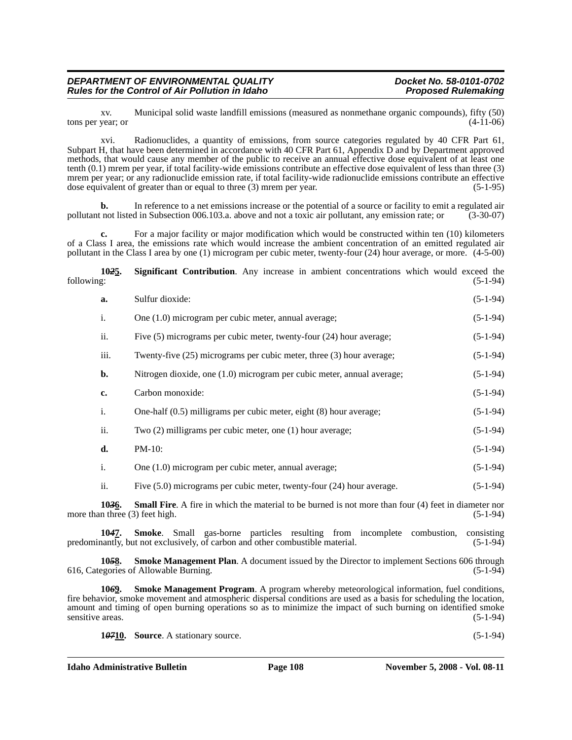xv. Municipal solid waste landfill emissions (measured as nonmethane organic compounds), fifty (50) tons per year; or

xvi. Radionuclides, a quantity of emissions, from source categories regulated by 40 CFR Part 61, Subpart H, that have been determined in accordance with 40 CFR Part 61, Appendix D and by Department approved methods, that would cause any member of the public to receive an annual effective dose equivalent of at least one tenth (0.1) mrem per year, if total facility-wide emissions contribute an effective dose equivalent of less than three (3) mrem per year; or any radionuclide emission rate, if total facility-wide radionuclide emissions contribute an effective dose equivalent of greater than or equal to three (3) mrem per year. (5-1-95)

**b.** In reference to a net emissions increase or the potential of a source or facility to emit a regulated air pollutant not listed in Subsection 006.103.a. above and not a toxic air pollutant, any emission rate; or (3-30-07)

For a major facility or major modification which would be constructed within ten (10) kilometers of a Class I area, the emissions rate which would increase the ambient concentration of an emitted regulated air pollutant in the Class I area by one (1) microgram per cubic meter, twenty-four (24) hour average, or more. (4-5-00)

**10***2***5. Significant Contribution**. Any increase in ambient concentrations which would exceed the following: (5-1-94)

| a.   | Sulfur dioxide:                                                          | $(5-1-94)$ |
|------|--------------------------------------------------------------------------|------------|
| i.   | One (1.0) microgram per cubic meter, annual average;                     | $(5-1-94)$ |
| ii.  | Five $(5)$ micrograms per cubic meter, twenty-four $(24)$ hour average;  | $(5-1-94)$ |
| iii. | Twenty-five $(25)$ micrograms per cubic meter, three $(3)$ hour average; | $(5-1-94)$ |
| b.   | Nitrogen dioxide, one (1.0) microgram per cubic meter, annual average;   | $(5-1-94)$ |
| c.   | Carbon monoxide:                                                         | $(5-1-94)$ |
| i.   | One-half $(0.5)$ milligrams per cubic meter, eight $(8)$ hour average;   | $(5-1-94)$ |
| ii.  | Two $(2)$ milligrams per cubic meter, one $(1)$ hour average;            | $(5-1-94)$ |
| d.   | $PM-10$ :                                                                | $(5-1-94)$ |
| i.   | One (1.0) microgram per cubic meter, annual average;                     | $(5-1-94)$ |
| ii.  | Five (5.0) micrograms per cubic meter, twenty-four (24) hour average.    | $(5-1-94)$ |

**103<u>6</u>. Small Fire**. A fire in which the material to be burned is not more than four (4) feet in diameter nor n three (3) feet high. (5-1-94) more than three  $(3)$  feet high.

**10***4***7. Smoke**. Small gas-borne particles resulting from incomplete combustion, consisting predominantly, but not exclusively, of carbon and other combustible material. (5-1-94)

**1058.** Smoke Management Plan. A document issued by the Director to implement Sections 606 through egories of Allowable Burning. 616, Categories of Allowable Burning.

**10***6***9. Smoke Management Program**. A program whereby meteorological information, fuel conditions, fire behavior, smoke movement and atmospheric dispersal conditions are used as a basis for scheduling the location, amount and timing of open burning operations so as to minimize the impact of such burning on identified smoke sensitive areas.

**1***07***<u>10</u>. Source**. A stationary source. (5-1-94)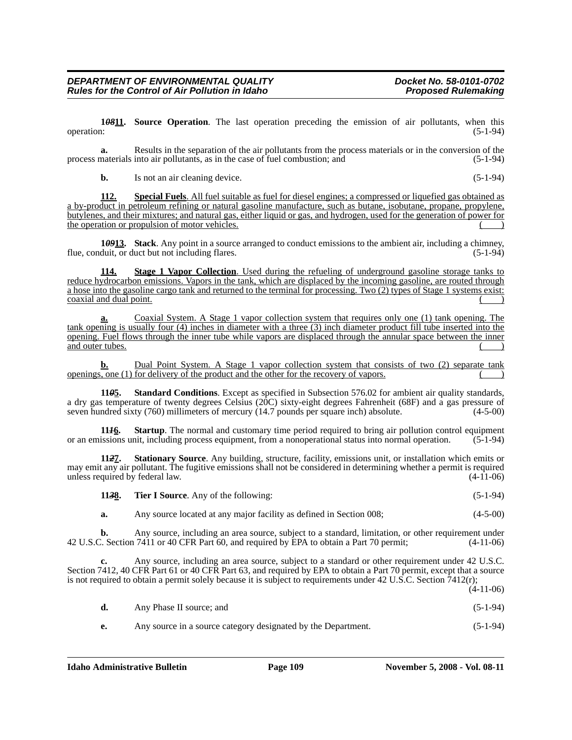**1***08***11. Source Operation**. The last operation preceding the emission of air pollutants, when this operation:  $(5-1-94)$ 

**a.** Results in the separation of the air pollutants from the process materials or in the conversion of the process materials into air pollutants, as in the case of fuel combustion; and (5-1-94)

**b.** Is not an air cleaning device. (5-1-94)

**112. Special Fuels**. All fuel suitable as fuel for diesel engines; a compressed or liquefied gas obtained as a by-product in petroleum refining or natural gasoline manufacture, such as butane, isobutane, propane, propylene, butylenes, and their mixtures; and natural gas, either liquid or gas, and hydrogen, used for the generation of power for the operation or propulsion of motor vehicles.

**1***09***<sup>1</sup>13. Stack**. Any point in a source arranged to conduct emissions to the ambient air, including a chimney, duit, or duct but not including flares. flue, conduit, or duct but not including flares.

**114. Stage 1 Vapor Collection**. Used during the refueling of underground gasoline storage tanks to reduce hydrocarbon emissions. Vapors in the tank, which are displaced by the incoming gasoline, are routed through a hose into the gasoline cargo tank and returned to the terminal for processing. Two (2) types of Stage 1 systems exist: coaxial and dual point.

**a.** Coaxial System. A Stage 1 vapor collection system that requires only one (1) tank opening. The tank opening is usually four (4) inches in diameter with a three (3) inch diameter product fill tube inserted into the opening. Fuel flows through the inner tube while vapors are displaced through the annular space between the inner and outer tubes.

**b.** Dual Point System. A Stage 1 vapor collection system that consists of two (2) separate tank openings, one  $(1)$  for delivery of the product and the other for the recovery of vapors.

**11***0***5. Standard Conditions**. Except as specified in Subsection 576.02 for ambient air quality standards, a dry gas temperature of twenty degrees Celsius (20C) sixty-eight degrees Fahrenheit (68F) and a gas pressure of seven hundred sixty (760) millimeters of mercury (14.7 pounds per square inch) absolute. (4-5-00)

**11***1***6. Startup**. The normal and customary time period required to bring air pollution control equipment or an emissions unit, including process equipment, from a nonoperational status into normal operation. (5-1-94)

**11***2***7. Stationary Source**. Any building, structure, facility, emissions unit, or installation which emits or may emit any air pollutant. The fugitive emissions shall not be considered in determining whether a permit is required<br>(4-11-06) (4-11-06) unless required by federal law.

| 1138. | <b>Tier I Source.</b> Any of the following: | $(5-1-94)$ |
|-------|---------------------------------------------|------------|
|-------|---------------------------------------------|------------|

**a.** Any source located at any major facility as defined in Section 008; (4-5-00)

**b.** Any source, including an area source, subject to a standard, limitation, or other requirement under 42 U.S.C. Section 7411 or 40 CFR Part 60, and required by EPA to obtain a Part 70 permit; (4-11-06)

**c.** Any source, including an area source, subject to a standard or other requirement under 42 U.S.C. Section 7412, 40 CFR Part 61 or 40 CFR Part 63, and required by EPA to obtain a Part 70 permit, except that a source is not required to obtain a permit solely because it is subject to requirements under  $42 \text{ U.S.C.}$  Section  $\bar{7}412(\text{r})$ ;  $(4 - 11 - 06)$ 

|    |                                                               | $(1.11 \text{ } 00)$ |
|----|---------------------------------------------------------------|----------------------|
| d. | Any Phase II source; and                                      | $(5-1-94)$           |
| е. | Any source in a source category designated by the Department. | $(5-1-94)$           |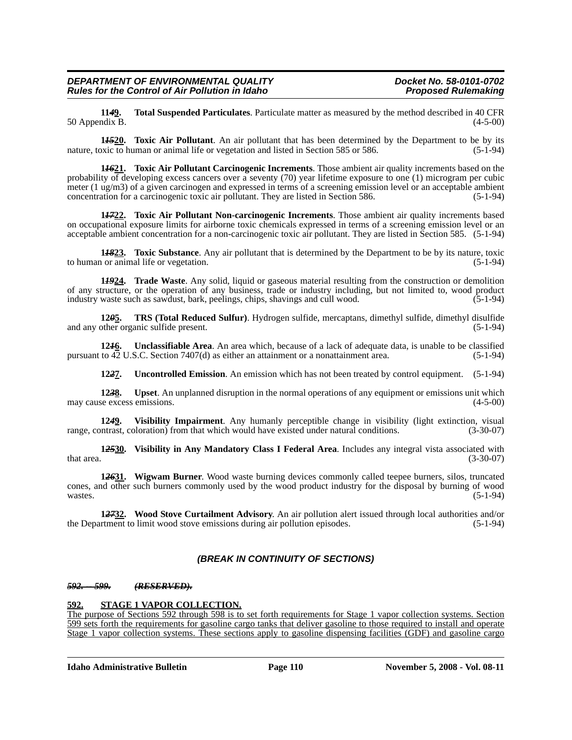**11***4***9. Total Suspended Particulates**. Particulate matter as measured by the method described in 40 CFR 50 Appendix B.

**1***15***20. Toxic Air Pollutant**. An air pollutant that has been determined by the Department to be by its nature, toxic to human or animal life or vegetation and listed in Section 585 or 586. (5-1-94)

**1***16***21. Toxic Air Pollutant Carcinogenic Increments**. Those ambient air quality increments based on the probability of developing excess cancers over a seventy (70) year lifetime exposure to one (1) microgram per cubic meter (1 ug/m3) of a given carcinogen and expressed in terms of a screening emission level or an acceptable ambient concentration for a carcinogenic toxic air pollutant. They are listed in Section 586. (5-1-94)

**1***17***22. Toxic Air Pollutant Non-carcinogenic Increments**. Those ambient air quality increments based on occupational exposure limits for airborne toxic chemicals expressed in terms of a screening emission level or an acceptable ambient concentration for a non-carcinogenic toxic air pollutant. They are listed in Section 585. (5-1-94)

**1<del>***1823***. Toxic Substance**</del>. Any air pollutant that is determined by the Department to be by its nature, toxic or animal life or vegetation. (5-1-94) to human or animal life or vegetation.

**1***19***24. Trade Waste**. Any solid, liquid or gaseous material resulting from the construction or demolition of any structure, or the operation of any business, trade or industry including, but not limited to, wood product industry waste such as sawdust, bark, peelings, chips, shavings and cull wood. (5-1-94)

**12***0***5. TRS (Total Reduced Sulfur)**. Hydrogen sulfide, mercaptans, dimethyl sulfide, dimethyl disulfide and any other organic sulfide present. (5-1-94)

**12***1***6. Unclassifiable Area**. An area which, because of a lack of adequate data, is unable to be classified pursuant to 42 U.S.C. Section 7407(d) as either an attainment or a nonattainment area. (5-1-94)

**12***2***7. Uncontrolled Emission**. An emission which has not been treated by control equipment. (5-1-94)

**12***3***8. Upset**. An unplanned disruption in the normal operations of any equipment or emissions unit which may cause excess emissions. (4-5-00)

**1249.** Visibility Impairment. Any humanly perceptible change in visibility (light extinction, visual natrast, coloration) from that which would have existed under natural conditions. (3-30-07) range, contrast, coloration) from that which would have existed under natural conditions.

**1***25***30. Visibility in Any Mandatory Class I Federal Area**. Includes any integral vista associated with  $t$ hat area.  $(3-30-07)$ 

**1***26***31. Wigwam Burner**. Wood waste burning devices commonly called teepee burners, silos, truncated cones, and other such burners commonly used by the wood product industry for the disposal by burning of wood wastes.  $(5-1-94)$ 

**1***27***32. Wood Stove Curtailment Advisory**. An air pollution alert issued through local authorities and/or the Department to limit wood stove emissions during air pollution episodes. (5-1-94)

### *(BREAK IN CONTINUITY OF SECTIONS)*

#### *592. -- 599. (RESERVED).*

#### **592. STAGE 1 VAPOR COLLECTION.**

The purpose of Sections 592 through 598 is to set forth requirements for Stage 1 vapor collection systems. Section 599 sets forth the requirements for gasoline cargo tanks that deliver gasoline to those required to install and operate Stage 1 vapor collection systems. These sections apply to gasoline dispensing facilities (GDF) and gasoline cargo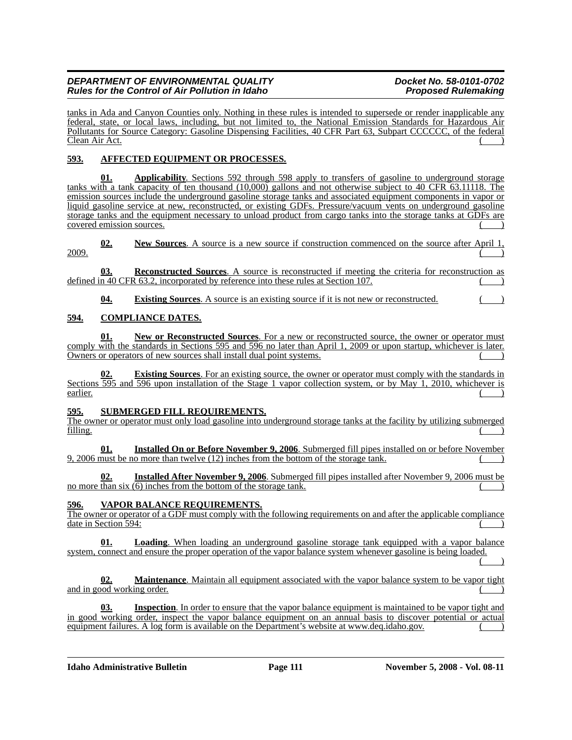tanks in Ada and Canyon Counties only. Nothing in these rules is intended to supersede or render inapplicable any federal, state, or local laws, including, but not limited to, the National Emission Standards for Hazardous Air Pollutants for Source Category: Gasoline Dispensing Facilities, 40 CFR Part 63, Subpart CCCCCC, of the federal Clean Air Act. ( )

# **593. AFFECTED EQUIPMENT OR PROCESSES.**

**01. Applicability**. Sections 592 through 598 apply to transfers of gasoline to underground storage tanks with a tank capacity of ten thousand (10,000) gallons and not otherwise subject to 40 CFR 63.11118. The emission sources include the underground gasoline storage tanks and associated equipment components in vapor or liquid gasoline service at new, reconstructed, or existing GDFs. Pressure/vacuum vents on underground gasoline storage tanks and the equipment necessary to unload product from cargo tanks into the storage tanks at GDFs are covered emission sources.

**02. New Sources**. A source is a new source if construction commenced on the source after April 1,  $\overline{2009}$ .

**03. Reconstructed Sources**. A source is reconstructed if meeting the criteria for reconstruction as defined in  $40$  CFR 63.2, incorporated by reference into these rules at Section 107.

**04. Existing Sources**. A source is an existing source if it is not new or reconstructed.

## **594. COMPLIANCE DATES.**

**01. New or Reconstructed Sources**. For a new or reconstructed source, the owner or operator must comply with the standards in Sections 595 and 596 no later than April 1, 2009 or upon startup, whichever is later. Owners or operators of new sources shall install dual point systems.

**Existing Sources**. For an existing source, the owner or operator must comply with the standards in Sections 595 and 596 upon installation of the Stage 1 vapor collection system, or by May 1, 2010, whichever is earlier. ( )

### **595. SUBMERGED FILL REQUIREMENTS.**

The owner or operator must only load gasoline into underground storage tanks at the facility by utilizing submerged  $filling.$  ( )

**Installed On or Before November 9, 2006**. Submerged fill pipes installed on or before November  $9,2006$  must be no more than twelve  $(12)$  inches from the bottom of the storage tank.

**02. Installed After November 9, 2006**. Submerged fill pipes installed after November 9, 2006 must be no more than six  $(6)$  inches from the bottom of the storage tank.

### **596. VAPOR BALANCE REQUIREMENTS.**

The owner or operator of a GDF must comply with the following requirements on and after the applicable compliance date in Section 594:

**01. Loading**. When loading an underground gasoline storage tank equipped with a vapor balance system, connect and ensure the proper operation of the vapor balance system whenever gasoline is being loaded.

 $($   $)$ 

#### **02. Maintenance**. Maintain all equipment associated with the vapor balance system to be vapor tight and in good working order.

**Inspection**. [In order to ensure that the vapor balance equipment is maintained to be vapor tight and](www.deq.idaho.gov) [in good working order, inspect the vapor balance equipment on an annual basis to discover potential or actual](www.deq.idaho.gov) equipment failures. A log form is available on the Department's website at www.deq.idaho.gov.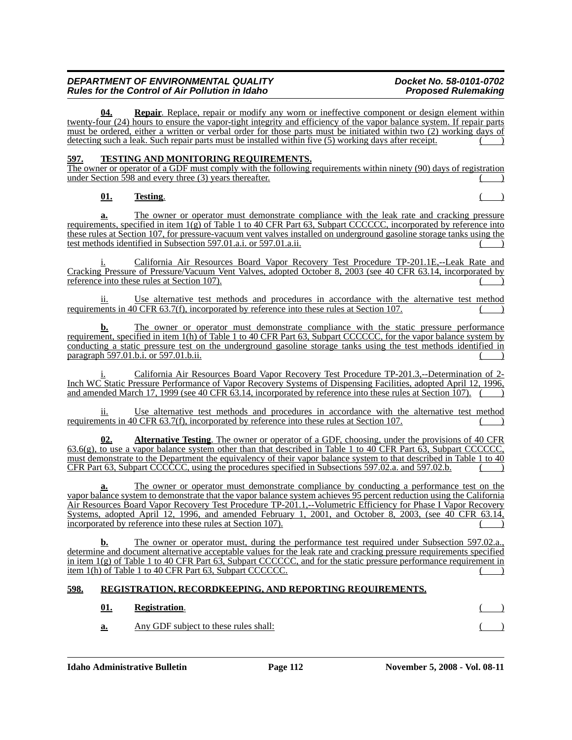**Repair**. Replace, repair or modify any worn or ineffective component or design element within twenty-four (24) hours to ensure the vapor-tight integrity and efficiency of the vapor balance system. If repair parts must be ordered, either a written or verbal order for those parts must be initiated within two (2) working days of detecting such a leak. Such repair parts must be installed within five  $(5)$  working days after receipt.

## **597. TESTING AND MONITORING REQUIREMENTS.**

The owner or operator of a GDF must comply with the following requirements within ninety (90) days of registration under Section  $\overline{598}$  and every three (3) years thereafter.

### **01. Testing**. ( )

**a.** The owner or operator must demonstrate compliance with the leak rate and cracking pressure requirements, specified in item 1(g) of Table 1 to 40 CFR Part 63, Subpart CCCCCC, incorporated by reference into these rules at Section 107, for pressure-vacuum vent valves installed on underground gasoline storage tanks using the test methods identified in Subsection 597.01.a.i. or 597.01.a.ii. ( )

i. California Air Resources Board Vapor Recovery Test Procedure TP-201.1E,--Leak Rate and Cracking Pressure of Pressure/Vacuum Vent Valves, adopted October 8, 2003 (see 40 CFR 63.14, incorporated by reference into these rules at Section 107).  $($ )

Use alternative test methods and procedures in accordance with the alternative test method requirements in 40 CFR 63.7(f), incorporated by reference into these rules at Section 107.

**b.** The owner or operator must demonstrate compliance with the static pressure performance requirement, specified in item 1(h) of Table 1 to 40 CFR Part 63, Subpart CCCCCC, for the vapor balance system by conducting a static pressure test on the underground gasoline storage tanks using the test methods identified in paragraph 597.01.b.i. or 597.01.b.ii.

California Air Resources Board Vapor Recovery Test Procedure TP-201.3,--Determination of 2-Inch WC Static Pressure Performance of Vapor Recovery Systems of Dispensing Facilities, adopted April 12, 1996, and amended March 17, 1999 (see 40 CFR 63.14, incorporated by reference into these rules at Section 107). (

Use alternative test methods and procedures in accordance with the alternative test method requirements in  $40$  CFR  $63.7(f)$ , incorporated by reference into these rules at Section 107.

**02. Alternative Testing**. The owner or operator of a GDF, choosing, under the provisions of 40 CFR 63.6(g), to use a vapor balance system other than that described in Table 1 to 40 CFR Part 63, Subpart CCCCCC, must demonstrate to the Department the equivalency of their vapor balance system to that described in Table 1 to 40 CFR Part 63, Subpart CCCCCC, using the procedures specified in Subsections 597.02.a. and 597.02.b.

The owner or operator must demonstrate compliance by conducting a performance test on the vapor balance system to demonstrate that the vapor balance system achieves 95 percent reduction using the California Air Resources Board Vapor Recovery Test Procedure TP-201.1,--Volumetric Efficiency for Phase I Vapor Recovery Systems, adopted April 12, 1996, and amended February 1, 2001, and October 8, 2003, (see 40 CFR 63.14, incorporated by reference into these rules at Section 107).

**b.** The owner or operator must, during the performance test required under Subsection 597.02.a., determine and document alternative acceptable values for the leak rate and cracking pressure requirements specified in item 1(g) of Table 1 to 40 CFR Part 63, Subpart CCCCCC, and for the static pressure performance requirement in item 1(h) of Table 1 to 40 CFR Part 63, Subpart CCCCCC.

# **598. REGISTRATION, RECORDKEEPING, AND REPORTING REQUIREMENTS.**

# **01. Registration**. ( )

**a.** Any GDF subject to these rules shall: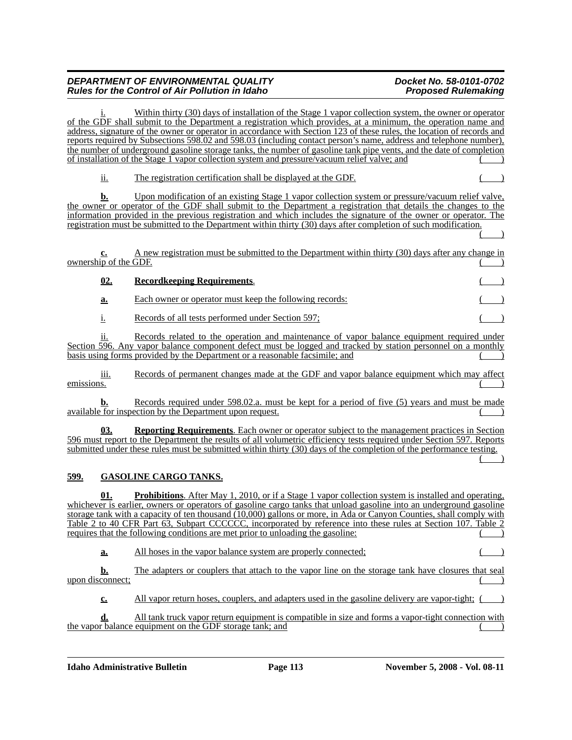Within thirty (30) days of installation of the Stage 1 vapor collection system, the owner or operator of the GDF shall submit to the Department a registration which provides, at a minimum, the operation name and address, signature of the owner or operator in accordance with Section 123 of these rules, the location of records and reports required by Subsections 598.02 and 598.03 (including contact person's name, address and telephone number), the number of underground gasoline storage tanks, the number of gasoline tank pipe vents, and the date of completion of installation of the Stage 1 vapor collection system and pressure/vacuum relief valve; and ()

ii. The registration certification shall be displayed at the GDF. ( )

**b.** Upon modification of an existing Stage 1 vapor collection system or pressure/vacuum relief valve, the owner or operator of the GDF shall submit to the Department a registration that details the changes to the information provided in the previous registration and which includes the signature of the owner or operator. The registration must be submitted to the Department within thirty (30) days after completion of such modification.  $($  )

**c.** A new registration must be submitted to the Department within thirty (30) days after any change in ownership of the  $\overline{\text{GDF}}$ .

# **02. Recordkeeping Requirements. a.** Each owner or operator must keep the following records: i. Records of all tests performed under Section 597;

ii. Records related to the operation and maintenance of vapor balance equipment required under Section 596. Any vapor balance component defect must be logged and tracked by station personnel on a monthly basis using forms provided by the Department or a reasonable facsimile; and

iii. Records of permanent changes made at the GDF and vapor balance equipment which may affect  $e$ missions. ( $\qquad$ )

**b.** Records required under 598.02.a. must be kept for a period of five (5) years and must be made available for inspection by the Department upon request.

**03. Reporting Requirements**. Each owner or operator subject to the management practices in Section 596 must report to the Department the results of all volumetric efficiency tests required under Section 597. Reports submitted under these rules must be submitted within thirty (30) days of the completion of the performance testing.  $\begin{pmatrix} 1 & 1 \\ 1 & 1 \end{pmatrix}$ 

# **599. GASOLINE CARGO TANKS.**

**01. Prohibitions**. After May 1, 2010, or if a Stage 1 vapor collection system is installed and operating, whichever is earlier, owners or operators of gasoline cargo tanks that unload gasoline into an underground gasoline storage tank with a capacity of ten thousand (10,000) gallons or more, in Ada or Canyon Counties, shall comply with Table 2 to 40 CFR Part 63, Subpart CCCCCC, incorporated by reference into these rules at Section 107. Table 2 requires that the following conditions are met prior to unloading the gasoline:

**a.** All hoses in the vapor balance system are properly connected; ()

**b.** The adapters or couplers that attach to the vapor line on the storage tank have closures that seal upon disconnect;

**c.** All vapor return hoses, couplers, and adapters used in the gasoline delivery are vapor-tight; (

**d.** All tank truck vapor return equipment is compatible in size and forms a vapor-tight connection with the vapor balance equipment on the GDF storage tank; and ( )

**Idaho Administrative Bulletin** Page 113 November 5, 2008 - Vol. 08-11